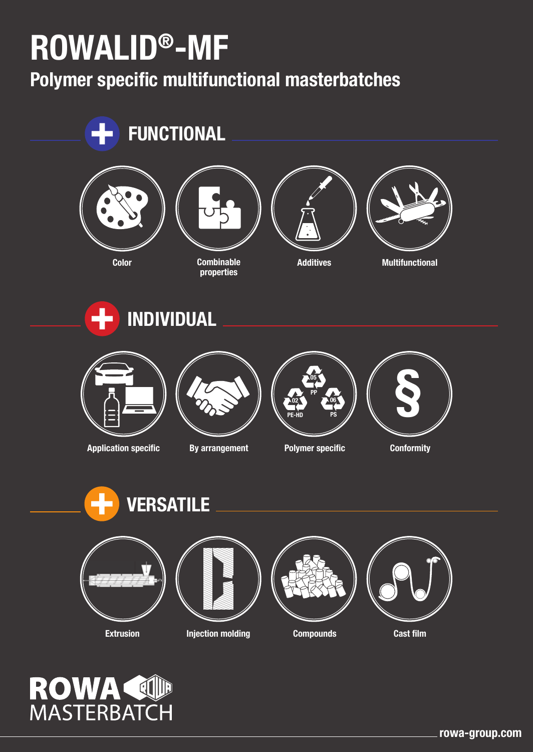# **ROWALID®-MF**

**Polymer specific multifunctional masterbatches**